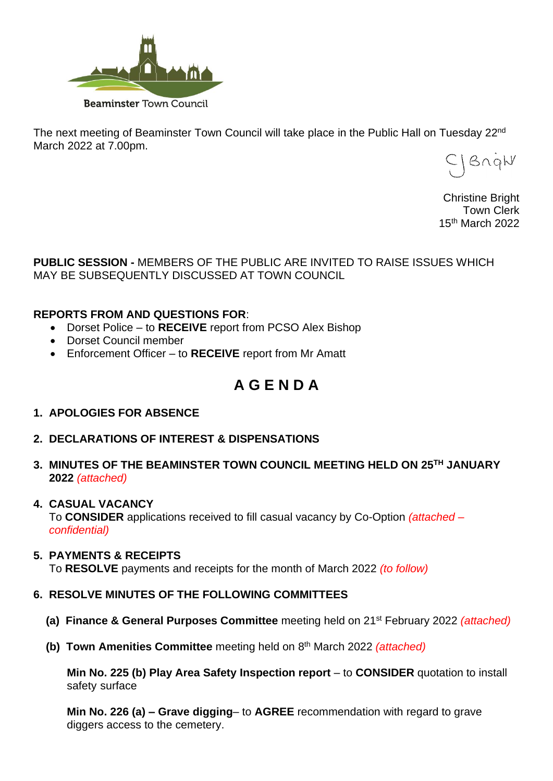

The next meeting of Beaminster Town Council will take place in the Public Hall on Tuesday 22<sup>nd</sup> March 2022 at 7.00pm.

JBnqW

Christine Bright Town Clerk 15 th March 2022

**PUBLIC SESSION -** MEMBERS OF THE PUBLIC ARE INVITED TO RAISE ISSUES WHICH MAY BE SUBSEQUENTLY DISCUSSED AT TOWN COUNCIL

# **REPORTS FROM AND QUESTIONS FOR**:

- Dorset Police to **RECEIVE** report from PCSO Alex Bishop
- Dorset Council member
- Enforcement Officer to **RECEIVE** report from Mr Amatt

# **A G E N D A**

- **1. APOLOGIES FOR ABSENCE**
- **2. DECLARATIONS OF INTEREST & DISPENSATIONS**
- **3. MINUTES OF THE BEAMINSTER TOWN COUNCIL MEETING HELD ON 25 TH JANUARY 2022** *(attached)*

# **4. CASUAL VACANCY**

 To **CONSIDER** applications received to fill casual vacancy by Co-Option *(attached – confidential)*

# **5. PAYMENTS & RECEIPTS**

To **RESOLVE** payments and receipts for the month of March 2022 *(to follow)*

# **6. RESOLVE MINUTES OF THE FOLLOWING COMMITTEES**

- **(a) Finance & General Purposes Committee** meeting held on 21st February 2022 *(attached)*
- **(b) Town Amenities Committee** meeting held on 8<sup>th</sup> March 2022 *(attached)*

**Min No. 225 (b) Play Area Safety Inspection report** – to **CONSIDER** quotation to install safety surface

**Min No. 226 (a) – Grave digging**– to **AGREE** recommendation with regard to grave diggers access to the cemetery.